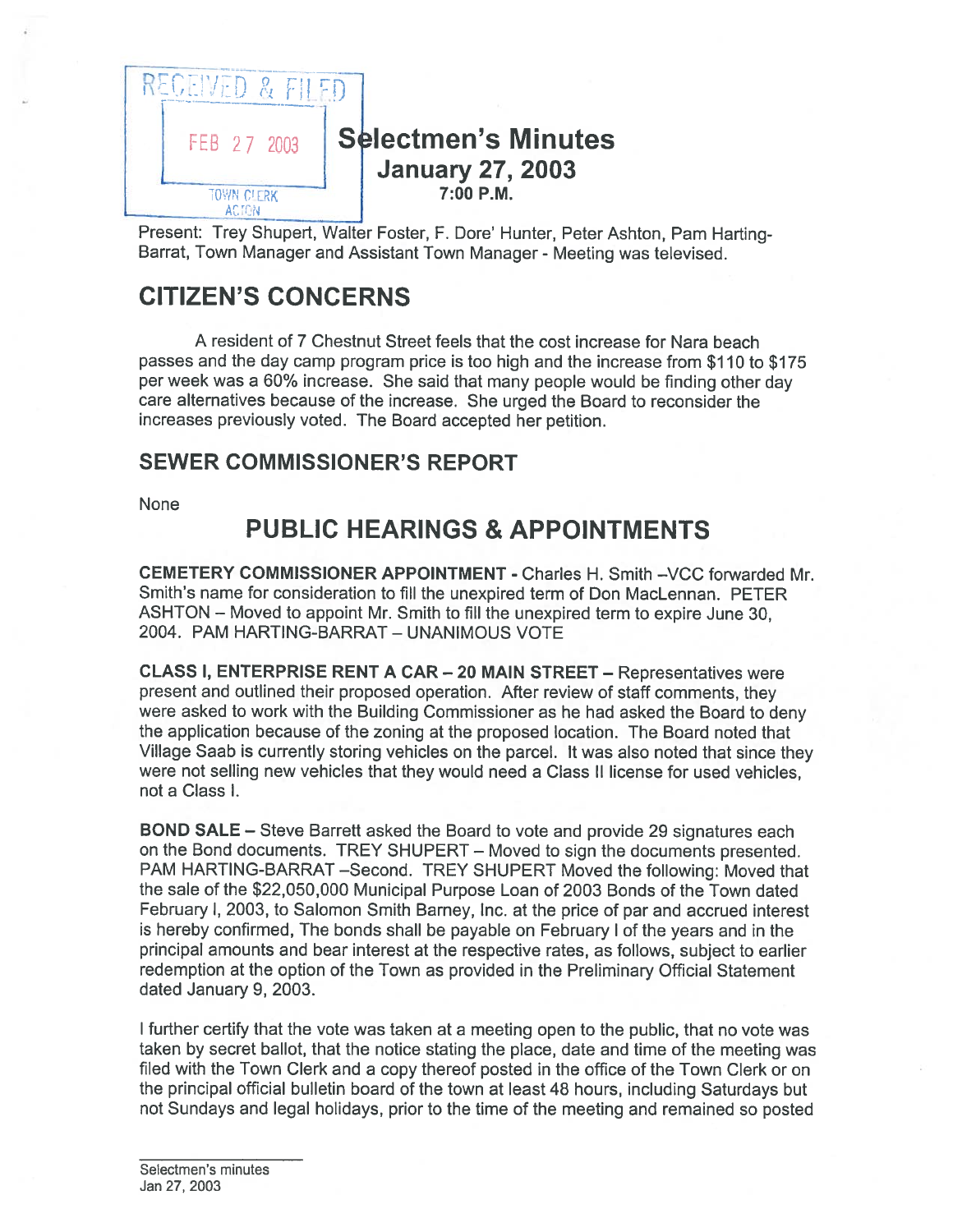

Present: Trey Shupert, Walter Foster, F. Dore' Hunter, Peter Ashton, Pam Harting Barrat, Town Manager and Assistant Town Manager - Meeting was televised.

# CITIZEN'S CONCERNS

A resident of 7 Chestnut Street feels that the cost increase for Nara beach passes and the day camp program price is too high and the increase from \$110 to \$175 per week was <sup>a</sup> 60% increase. She said that many people would be finding other day care alternatives because of the increase. She urged the Board to reconsider the increases previously voted. The Board accepted her petition.

### SEWER COMMISSIONER'S REPORT

None

# PUBLIC HEARINGS & APPOINTMENTS

CEMETERY COMMISSIONER APPOINTMENT - Charles H. Smith —VCC forwarded Mr. Smith's name for consideration to fill the unexpired term of Don MacLennan. PETER ASHTON — Moved to appoint Mt. Smith to fill the unexpired term to expire June 30, 2004. PAM HARTING-BARRAT - UNANIMOUS VOTE

CLASS I, ENTERPRISE RENT <sup>A</sup> CAR —20 MAIN STREET — Representatives were presen<sup>t</sup> and outlined their propose<sup>d</sup> operation. After review of staff comments, they were asked to work with the Building Commissioner as he had asked the Board to deny the application because of the zoning at the proposed location. The Board noted that Village Saab is currently storing vehicles on the parcel. It was also noted that since they were not selling new vehicles that they would need <sup>a</sup> Class II license for used vehicles, not <sup>a</sup> Class I.

BOND SALE — Steve Barrett asked the Board to vote and provide 29 signatures each on the Bond documents. TREY SHUPERT — Moved to sign the documents presented. PAM HARTING-BARRAT —Second. TREY SHUPERT Moved the following: Moved that the sale of the \$22,050,000 Municipal Purpose Loan of <sup>2003</sup> Bonds of the Town dated February I, 2003, to Salomon Smith Barney, Inc. at the price of par and accrued interest is hereby confirmed, The bonds shall be payable on February <sup>I</sup> of the years and in the principal amounts and bear interest at the respective rates, as follows, subject to earlier redemption at the option of the Town as provided in the Preliminary Official Statement dated January 9, 2003.

<sup>I</sup> further certify that the vote was taken at <sup>a</sup> meeting open to the public, that no vote was taken by secret ballot, that the notice stating the place, date and time of the meeting was filed with the Town Clerk and <sup>a</sup> copy thereof posted in the office of the Town Clerk or on the principal official bulletin board of the town at least 48 hours, including Saturdays but not Sundays and legal holidays, prior to the time of the meeting and remained so posted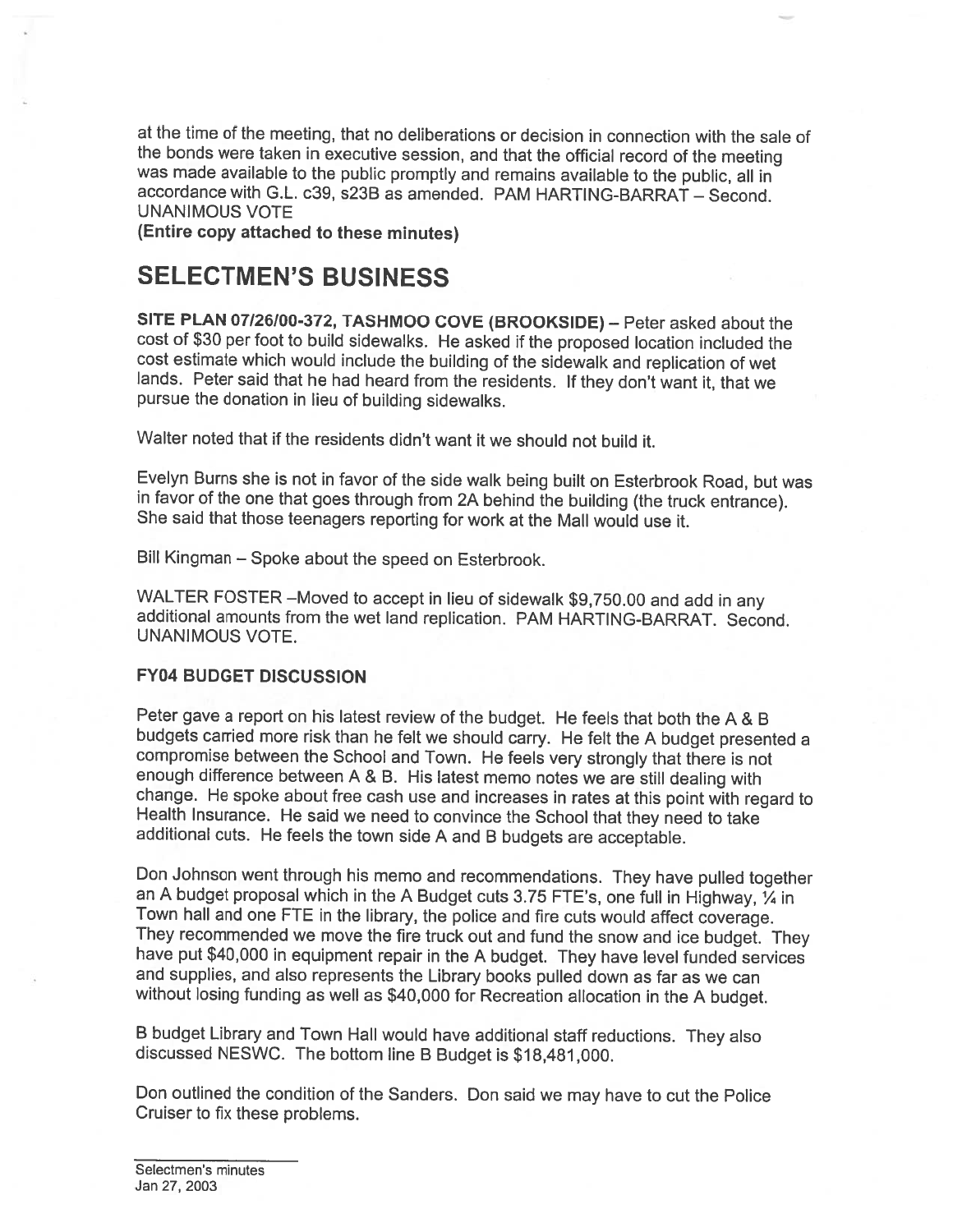at the time of the meeting, that no deliberations or decision in connection with the sale of the bonds were taken in executive session, and that the official record of the meeting was made available to the public promptly and remains available to the public, all in accordance with G.L. c39, s23B as amended. PAM HARTING-BARRAT - Second. UNANIMOUS VOTE

(Entire copy attached to these minutes)

## SELECTMEN'S BUSINESS

SITE PLAN 07/26/00-372, TASHMOO COVE (BROOKSIDE) — Peter asked about the cost of \$30 per foot to build sidewalks. He asked if the proposed location included the lands. Peter said that he had heard from the residents. If they don't want it, that we pursue the donation in lieu of building sidewalks.

Walter noted that if the residents didn't want it we should not build it.

Evelyn Burns she is not in favor of the side walk being built on Esterbrook Road, but was in favor of the one that goes through from 2A behind the building (the truck entrance). She said that those teenagers reporting for work at the Mall would use it.

Bill Kingman — Spoke about the speed on Esterbrook.

WALTER FOSTER –Moved to accept in lieu of sidewalk \$9,750.00 and add in any additional amounts from the wet land replication. PAM HARTING-BARRAT. Second. UNANIMOUS VOTE.

#### FY04 BUDGET DISCUSSION

Peter gave <sup>a</sup> report on his latest review of the budget. He feels that both the <sup>A</sup> & <sup>B</sup> budgets carried more risk than he felt we should carry. He felt the <sup>A</sup> budget presented <sup>a</sup> compromise between the School and Town. He feels very strongly that there is not enough difference between A & B. His latest memo notes we are still dealing with change. He spoke about free cash use and increases in rates at this point with regard to Health Insurance. He said we need to convince the School that they need to take additional cuts. He feels the town side A and B budge

Don Johnson went through his memo and recommendations. They have pulled together an A budget proposal which in the A Budget cuts 3.75 FTE's, one full in Highway, 1/4 in Town hall and one FTE in the library, the police and fire cuts would affect coverage.<br>They recommended we move the fire truck out and fund the snow and ice budget. They have put \$40,000 in equipment repair in the A budget. and supplies, and also represents the Library books pulled down as far as we can without losing funding as well as \$40,000 for Recreation allocation in the A budget.

<sup>B</sup> budget Library and Town Halt would have additional staff reductions. They also discussed NESWC. The bottom line <sup>B</sup> Budget is \$18,481,000.

Don outlined the condition of the Sanders. Don said we may have to cut the Police Cruiser to fix these problems.

Selectmen's minutes Jan 27, 2003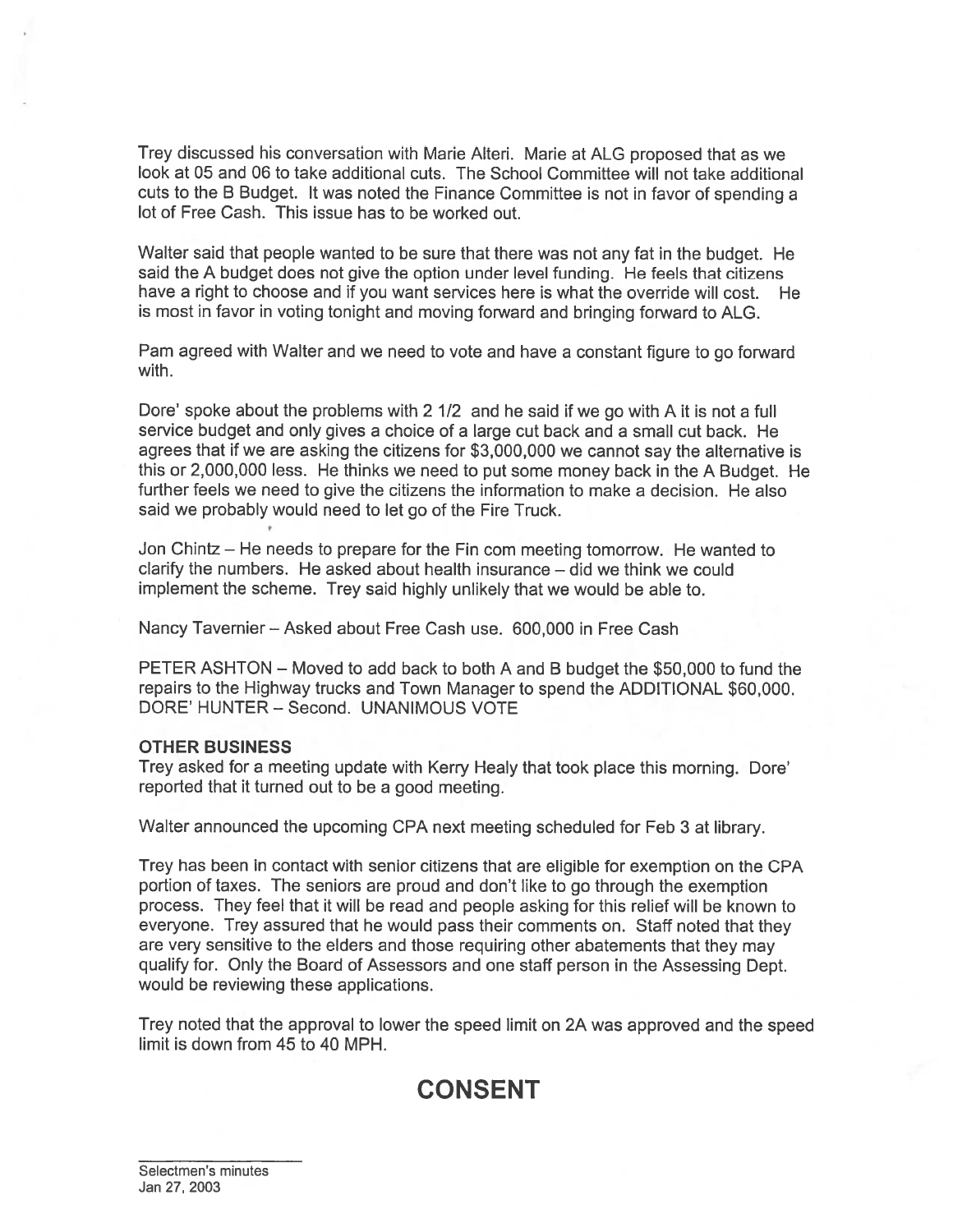Trey discussed his conversation with Marie Alteri. Marie at ALG proposed that as we look at 05 and 06 to take additional cuts. The School Committee will not take additional cuts to the <sup>B</sup> Budget. It was noted the Finance Committee is not in favor of spending <sup>a</sup> lot of Free Cash. This issue has to be worked out.

Walter said that people wanted to be sure that there was not any fat in the budget. He said the A budget does not give the option under level funding. He feels that citizens have <sup>a</sup> right to choose and if you want services here is what the override will cost. He is most in favor in voting tonight and moving forward and bringing forward to ALG.

Pam agreed with Walter and we need to vote and have <sup>a</sup> constant figure to go forward with.

Dore' spoke about the problems with <sup>2</sup> 1/2 and he said if we go with <sup>A</sup> it is not <sup>a</sup> full service budget and only gives <sup>a</sup> choice of <sup>a</sup> large cut back and <sup>a</sup> small cut back. He agrees that if we are asking the citizens for \$3,000,000 we cannot say the alternative is this or 2,000,000 less. He thinks we need to pu<sup>t</sup> some money back in the <sup>A</sup> Budget. He further feels we need to give the citizens the information to make <sup>a</sup> decision. He also said we probably would need to let go of the Fire Truck.

Jon Chintz — He needs to prepare for the Fin corn meeting tomorrow. He wanted to clarify the numbers. He asked about health insurance — did we think we could implement the scheme. Trey said highly unlikely that we would be able to.

Nancy Tavernier — Asked about Free Cash use. 600,000 in Free Cash

PETER ASHTON — Moved to add back to both A and B budget the \$50,000 to fund the repairs to the Highway trucks and Town Manager to spend the ADDITIONAL \$60,000. DORE' HUNTER — Second. UNANIMOUS VOTE

#### OTHER BUSINESS

Trey asked for <sup>a</sup> meeting update with Kerry Healy that took <sup>p</sup>lace this morning. Dore' reported that it turned out to be <sup>a</sup> good meeting.

Walter announced the upcoming CPA next meeting scheduled for Feb 3 at library.

Trey has been in contact with senior citizens that are eligible for exemption on the CPA portion of taxes. The seniors are proud and don't like to go through the exemption process. They feel that it will be read and people asking for this relief will be known to everyone. Trey assured that he would pass their comments on. Staff noted that they are very sensitive to the elders and those requiring other abatements that they may qualify for. Only the Board of Assessors and one staff person in the Assessing Dept. would be reviewing these applications.

Trey noted that the approval to lower the speed limit on 2A was approved and the speed limit is down from 45 to 40 MPH.

## CONSENT

Selectmen's minutes Jan 27, 2003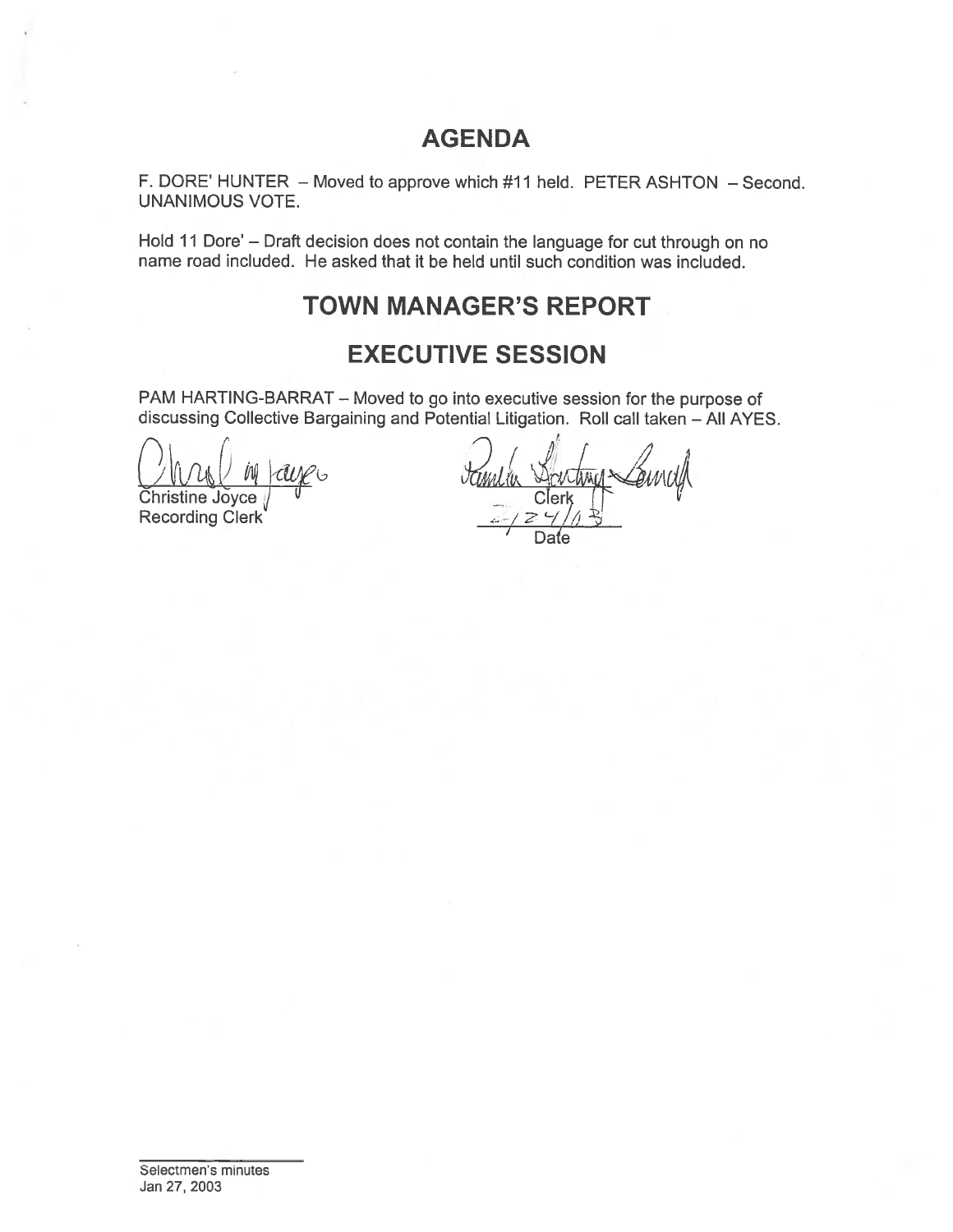## AGENDA

F. DORE' HUNTER — Moved to approve which #11 held. PETER ASHTON — Second. UNANIMOUS VOTE.

Hold <sup>11</sup> Dote' — Draft decision does not contain the language for cut through on no name road included. He asked that it be held until such condition was included. AGENDA<br>
NRE' HUNTER – Moved to approve which #11 held. PET<br>
NIMOUS VOTE.<br>
11 Dore' – Draft decision does not contain the language froad included. He asked that it be held until such condit<br>
TOWN MANAGER'S REPC<br>
EXECUTIVE S

## TOWN MANAGER'S REPORT

## EXECUTIVE SESSION

PAM HARTING-BARRAT — Moved to go into executive session for the purpose of discussing Collective Bargaining and Potential Litigation. Roll call taken — All AYES.

r fl  $\bigcap$  ,  $\bigcap$ Christine Joyce

Recording Clerk

), i  $\ell$  ,  $\ell$  i  $\ell$  i  $\ell$ / Date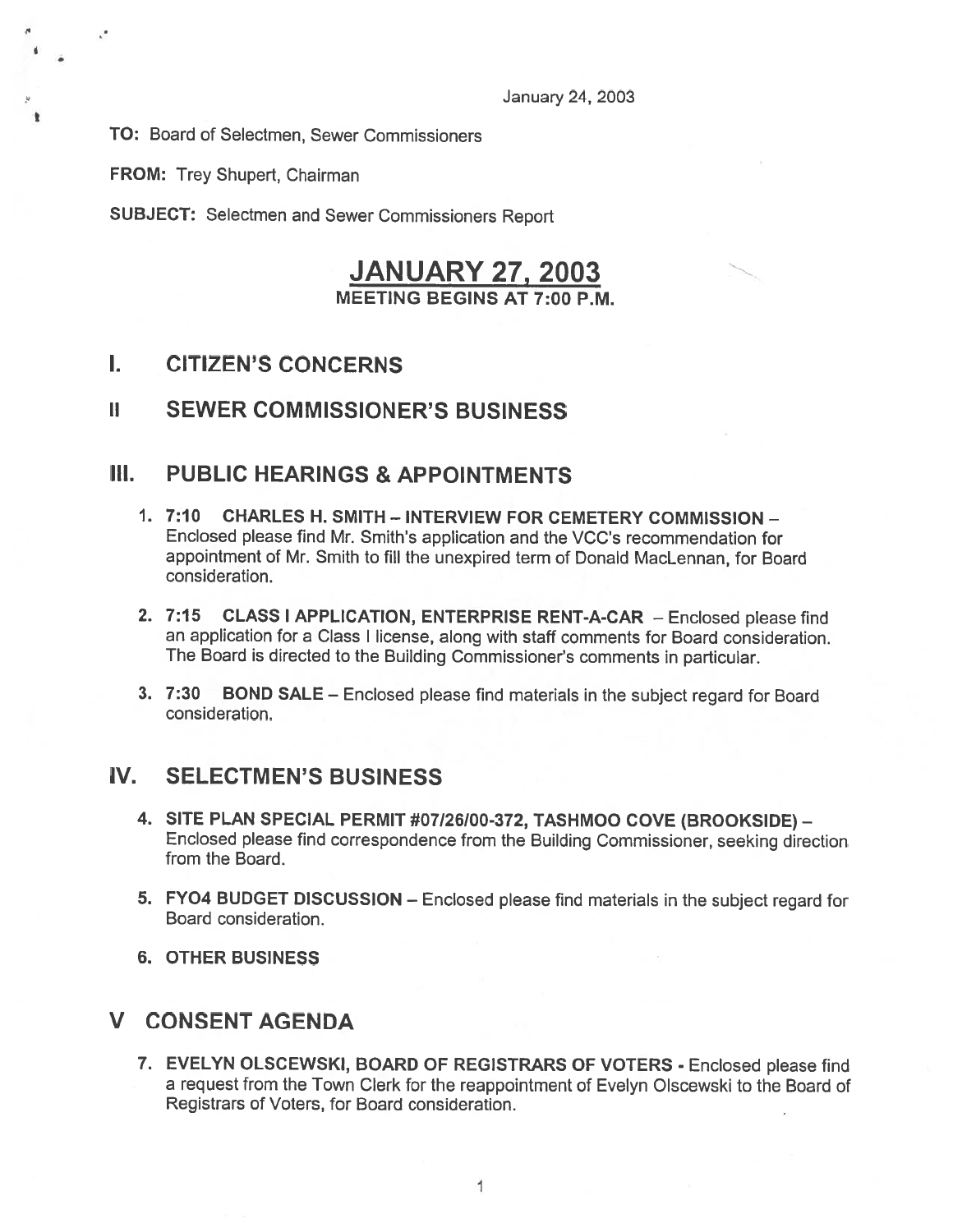TO: Board of Selectmen, Sewer Commissioners

FROM: Trey Shupert, Chairman

٠

SUBJECT: Selectmen and Sewer Commissioners Report

### **JANUARY 27, 2003** MEETING BEGINS AT 7:00 P.M.

### I. CITIZEN'S CONCERNS

#### ii SEWER COMMISSIONER'S BUSINESS

### III. PUBLIC HEARINGS & APPOINTMENTS

- 1. 7:10 CHARLES H. SMITH INTERVIEW FOR CEMETERY COMMISSION Enclosed <sup>p</sup>lease find Mr. Smith's application and the VCC's recommendation for appointment of Mr. Smith to fill the unexpired term of Donald MacLennan, for Board consideration.
- 2. 7:15 CLASS <sup>I</sup> APPLICATION, ENTERPRISE RENT-A-CAR Enclosed <sup>p</sup>lease find an application for <sup>a</sup> Class <sup>I</sup> license, along with staff comments for Board consideration. The Board is directed to the Building Commissioner's comments in particular.
- 3. 7:30 BOND SALE Enclosed <sup>p</sup>lease find materials in the subject regar<sup>d</sup> for Board consideration.

### IV. SELECTMEN'S BUSINESS

- 4. SITE PLAN SPECIAL PERMIT #07/26/00-372, TASHMOO COVE (BROOKSIDE) Enclosed <sup>p</sup>lease find correspondence from the Building Commissioner, seeking direction from the Board.
- 5. FY04 BUDGET DISCUSSION Enclosed <sup>p</sup>lease find materials in the subject regar<sup>d</sup> for Board consideration.
- 6. OTHER BUSINESS

### V CONSENT AGENDA

7. EVELYN OLSCEWSKI, BOARD OF REGISTRARS OF VOTERS - Enclosed <sup>p</sup>lease find <sup>a</sup> reques<sup>t</sup> from the Town Clerk for the reappointment of Evelyn Olscewski to the Board of Registrars of Voters, for Board consideration.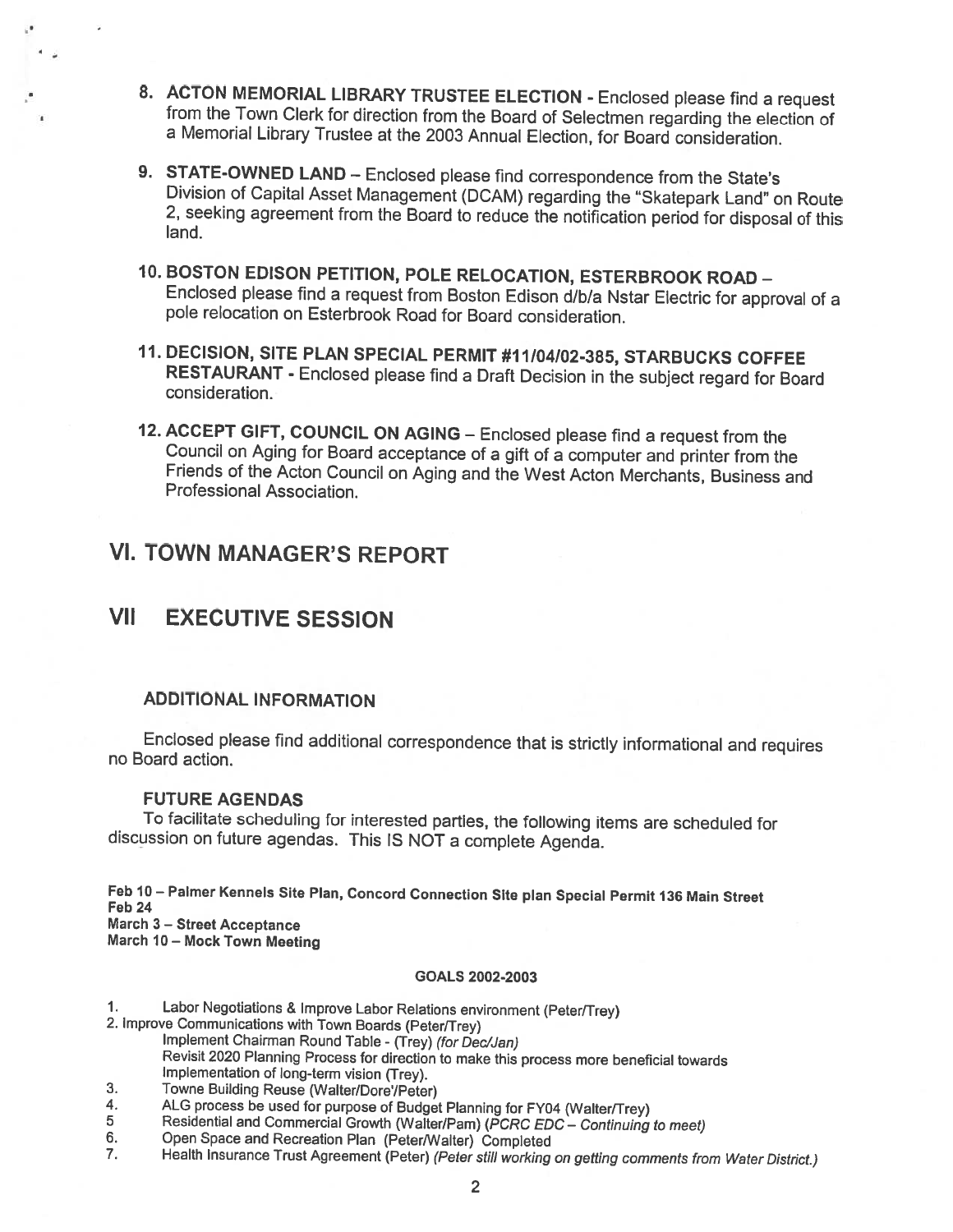- 8. ACTON MEMORIAL LIBRARY TRUSTEE ELECTION Enclosed please find a request from the Town Clerk for direction from the Board of Selectmen regarding the election of <sup>a</sup> Memorial Library Trustee at the <sup>2003</sup> Annual Election, for Board consideration.
- 9. STATE-OWNED LAND Enclosed please find correspondence from the State's<br>Division of Capital Asset Management (DCAM) regarding the "Skatepark Land" on Route<br>2, seeking agreement from the Board to reduce the notification
- 10. BOSTON EDISON PETITION, POLE RELOCATION, ESTERBROOK ROAD Enclosed <sup>p</sup>lease find <sup>a</sup> request from Boston Edison d/bla Nstar Electric for approval of <sup>a</sup> pole relocation on Esterbrook Road for Board consideration.
- 11. DECISION, SITE PLAN SPECIAL PERMIT #11104102-385, STARBUCKS COFFEE RESTAURANT - Enclosed <sup>p</sup>lease find <sup>a</sup> Draft Decision in the subject regard for Board consideration.
- 12. ACCEPT GIFT, COUNCIL ON AGING Enclosed please find a request from the Council on Aging for Board acceptance of a gift of a computer and printer from the Friends of the Acton Council on Aging and the West Acton Mercha

### VI. TOWN MANAGER'S REPORT

## VII EXECUTIVE SESSION

#### ADDITIONAL INFORMATION

Enclosed <sup>p</sup>lease find additional correspondence that is strictly informational and requires no Board action.

#### FUTURE AGENDAS

To facilitate scheduling for interested parties, the following items are scheduled for discussion on future agendas. This IS NOT <sup>a</sup> complete Agenda.

Feb 10— Palmer Kennels Site Plan, Concord Connection Site <sup>p</sup>lan Special Permit <sup>136</sup> Main Street Feb <sup>24</sup> March 3 — Street Acceptance

March <sup>10</sup> — Mock Town Meeting

#### GOALS 2002-2003

1. Labor Negotiations & Improve Labor Relations environment (Peter/Trey)<br>2. Improve Communications with Town Boards (Peter/Trey)<br>Implement Chairman Round Table - (Trey) *(for Dec/Jan)* 

Revisit <sup>2020</sup> Planning Process for direction to make this process more beneficial towards Implementation of long-term vision (Trey).

- 
- 3. Towne Building Reuse (Walter/Dore'/Peter)<br>4. ALG process be used for purpose of Budget Planning for FY04 (Walter/Trey)
- 
- 
- 5 Residential and Commercial Growth (Walter/Pam) (PCRC EDC Continuing to meet)<br>6. Open Space and Recreation Plan (Peter/Walter) Completed<br>7. Health Insurance Trust Agreement (Peter) (Peter still working on getting commen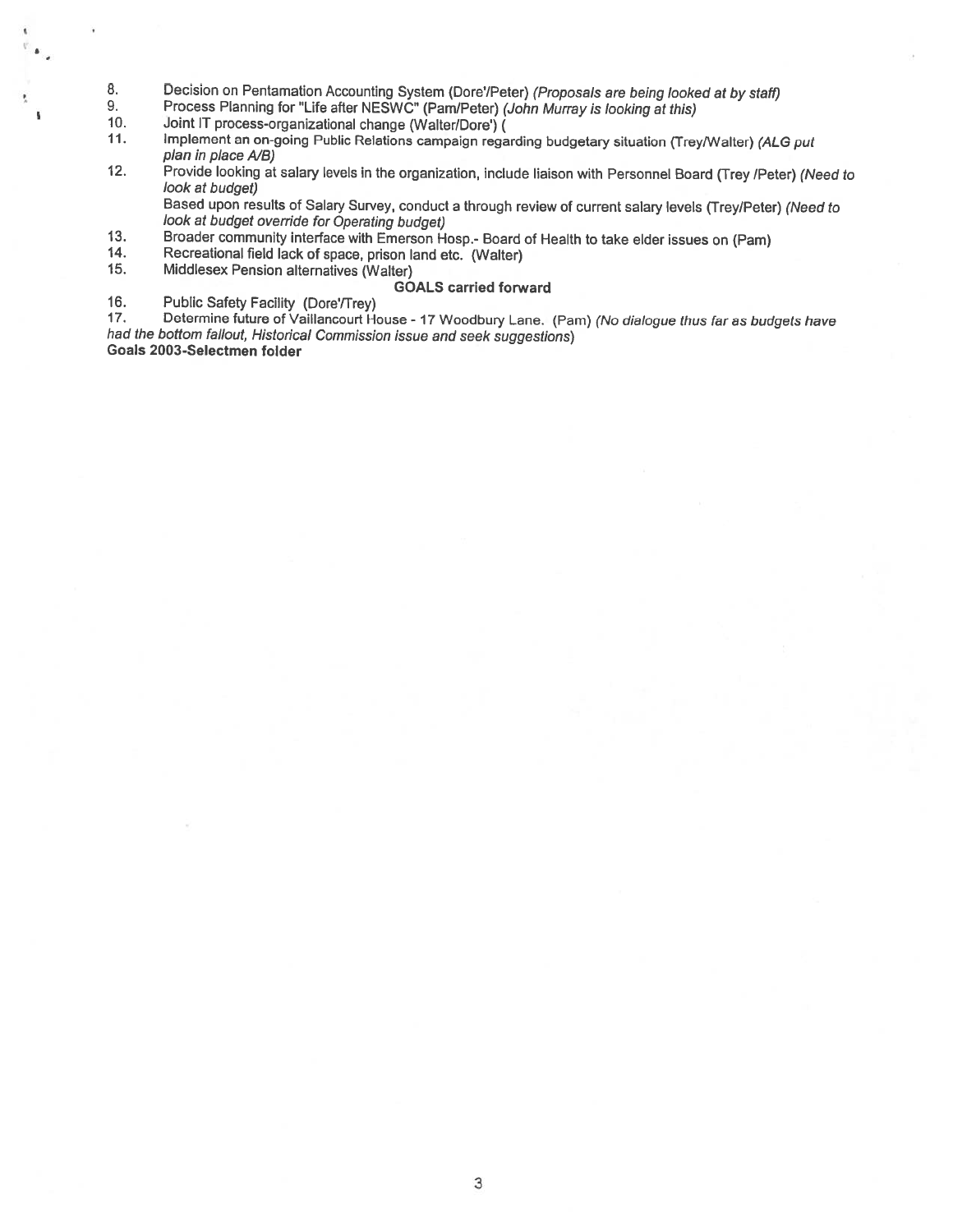- 8. Decision on Pentamation Accounting System (Dore'/Peter) (Proposals are being looked at by staff)<br>9. Process Planning for "Life after NESWC" (Pam/Peter) (John Murray is looking at this)
- 9. Process Planning for "Life after NESWC" (Pam/Peter) (John Murray is looking at this)<br>10. Joint IT process-organizational change (Walter/Dore') (

10. Joint IT process-organizational change (Walter/Dore') (1.1. Implement an on-going Public Relations campaign rega

- Implement an on-going Public Relations campaign regarding budgetary situation (Trey/Walter) (ALG put plan in place A/B)
- 12. Provide looking at salary levels in the organization, include liaison with Personnel Board (Trey /Peter) (Need to look at budget)

Based upon results of Salary Survey, conduct a through review of current salary levels (Trey/Peter) (Need to look at budget override for Operating budget)

- 13. Broader community interface with Emerson Hosp.- Board of Health to take elder issues on (Pam)<br>14. Recreational field lack of space, prison land etc. (Walter)
- 14. Recreational field lack of space, prison land etc. (Walter)
- Middlesex Pension alternatives (Walter)

#### GOALS carried forward

16. Public Safety Facility (Dore'/Trey)<br>17. Determine future of Vaillancourt He

17. Determine future of Vaillancourt House - 17 Woodbury Lane. (Pam) (No dialogue thus far as budgets have had the bottom fallout, Historical Commission issue and seek suggestions) Goals 2003-Selectmen folder